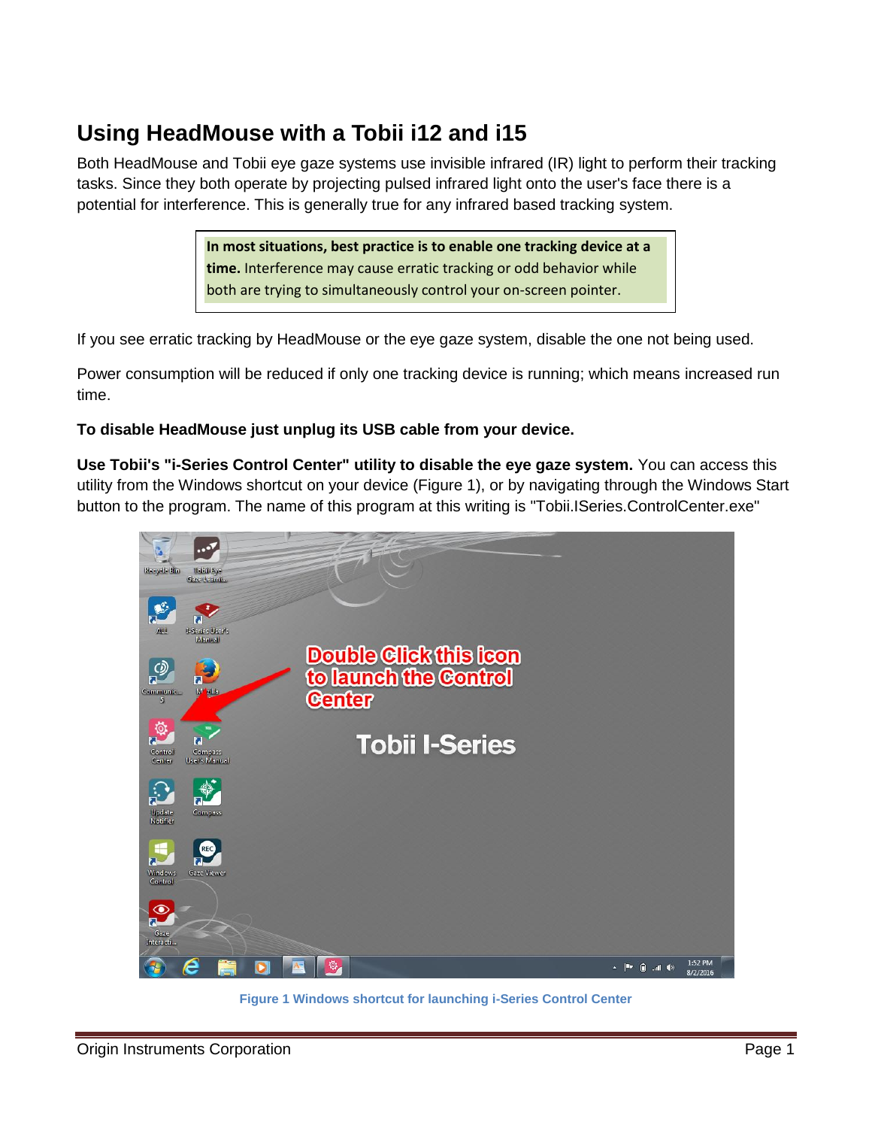## **Using HeadMouse with a Tobii i12 and i15**

Both HeadMouse and Tobii eye gaze systems use invisible infrared (IR) light to perform their tracking tasks. Since they both operate by projecting pulsed infrared light onto the user's face there is a potential for interference. This is generally true for any infrared based tracking system.

> **In most situations, best practice is to enable one tracking device at a time.** Interference may cause erratic tracking or odd behavior while both are trying to simultaneously control your on-screen pointer.

If you see erratic tracking by HeadMouse or the eye gaze system, disable the one not being used.

Power consumption will be reduced if only one tracking device is running; which means increased run time.

**To disable HeadMouse just unplug its USB cable from your device.**

**Use Tobii's "i-Series Control Center" utility to disable the eye gaze system.** You can access this utility from the Windows shortcut on your device [\(Figure 1\)](#page-0-0), or by navigating through the Windows Start button to the program. The name of this program at this writing is "Tobii.ISeries.ControlCenter.exe"

<span id="page-0-0"></span>

**Figure 1 Windows shortcut for launching i-Series Control Center**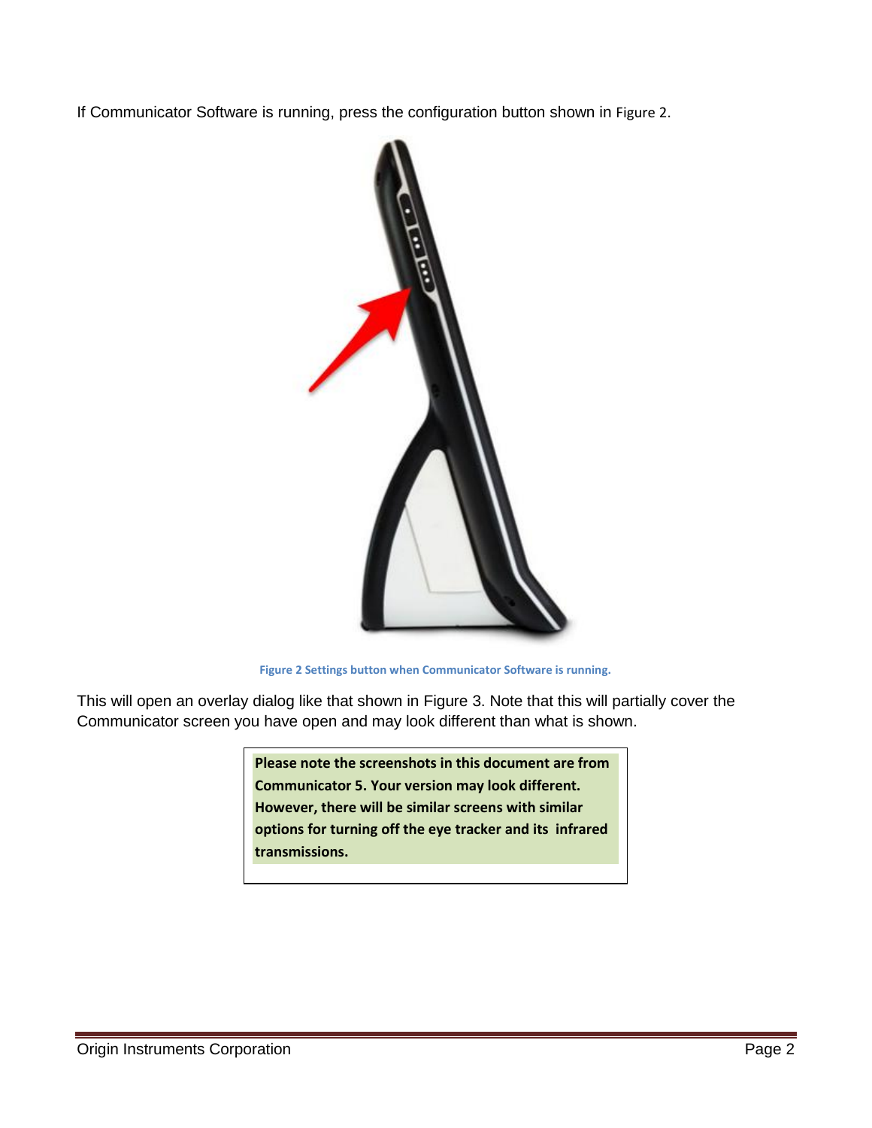If Communicator Software is running, press the configuration button shown in [Figure 2](#page-1-0).



**Figure 2 Settings button when Communicator Software is running.**

<span id="page-1-0"></span>This will open an overlay dialog like that shown in Figure 3. Note that this will partially cover the Communicator screen you have open and may look different than what is shown.

> **Please note the screenshots in this document are from Communicator 5. Your version may look different. However, there will be similar screens with similar options for turning off the eye tracker and its infrared transmissions.**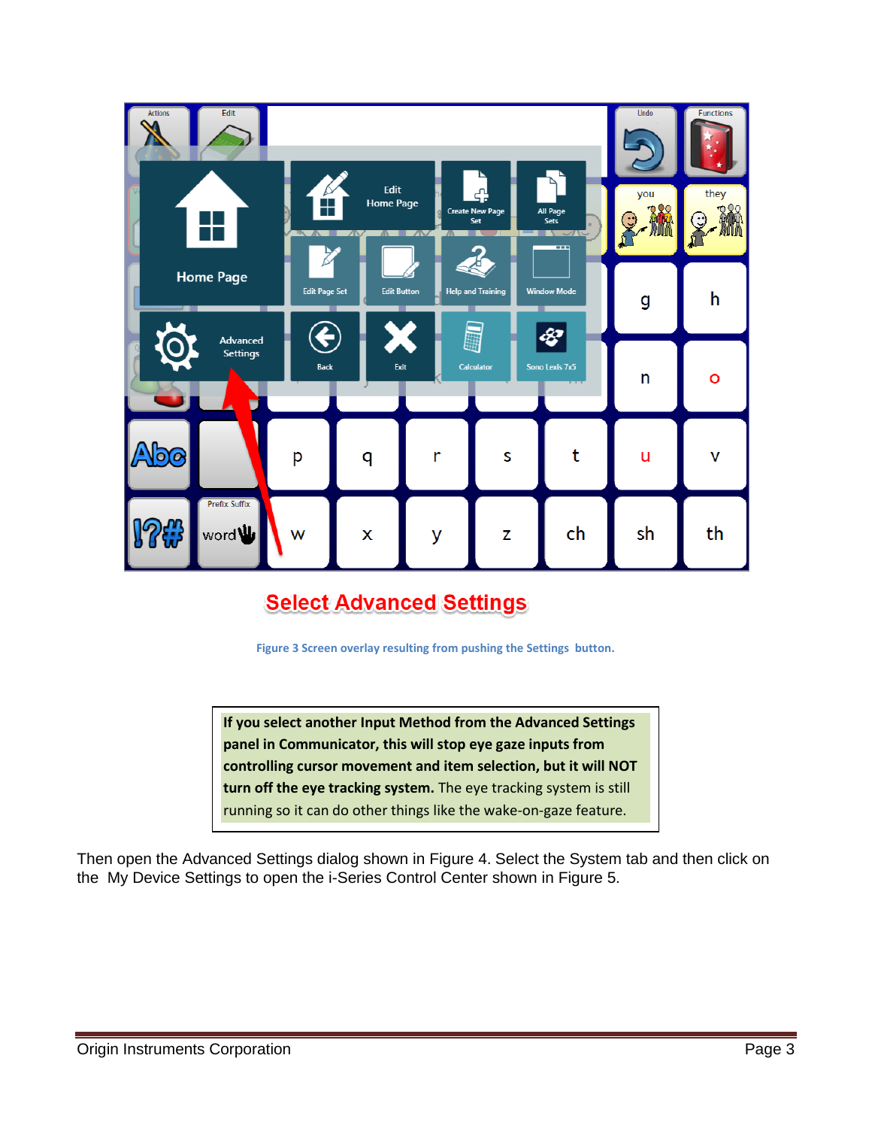

## **Select Advanced Settings**

**Figure 3 Screen overlay resulting from pushing the Settings button.**

**If you select another Input Method from the Advanced Settings panel in Communicator, this will stop eye gaze inputs from controlling cursor movement and item selection, but it will NOT turn off the eye tracking system.** The eye tracking system is still running so it can do other things like the wake-on-gaze feature.

Then open the Advanced Settings dialog shown in [Figure 4](#page-3-0). Select the System tab and then click on the My Device Settings to open the i-Series Control Center shown in [Figure 5](#page-4-0).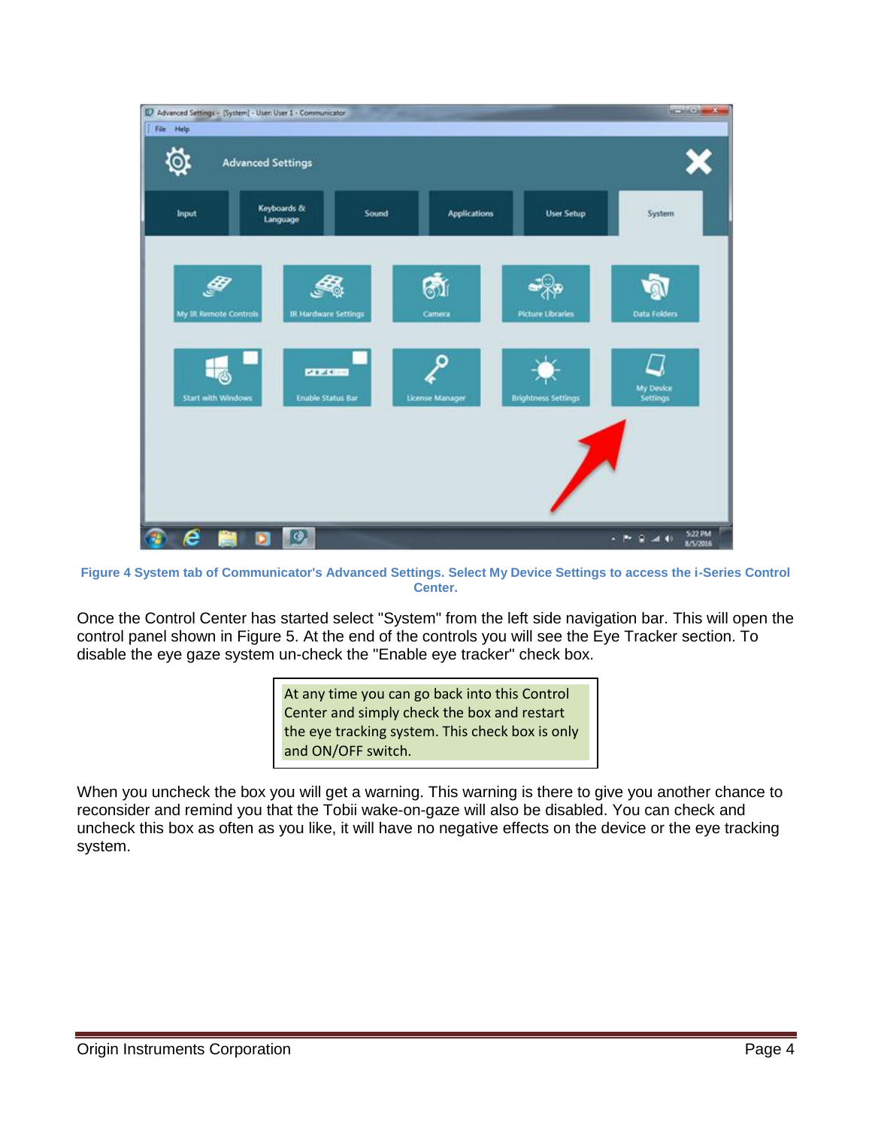

<span id="page-3-0"></span>**Figure 4 System tab of Communicator's Advanced Settings. Select My Device Settings to access the i-Series Control Center.**

Once the Control Center has started select "System" from the left side navigation bar. This will open the control panel shown in [Figure 5.](#page-4-0) At the end of the controls you will see the Eye Tracker section. To disable the eye gaze system un-check the "Enable eye tracker" check box.

> At any time you can go back into this Control Center and simply check the box and restart the eye tracking system. This check box is only and ON/OFF switch.

When you uncheck the box you will get a warning. This warning is there to give you another chance to reconsider and remind you that the Tobii wake-on-gaze will also be disabled. You can check and uncheck this box as often as you like, it will have no negative effects on the device or the eye tracking system.